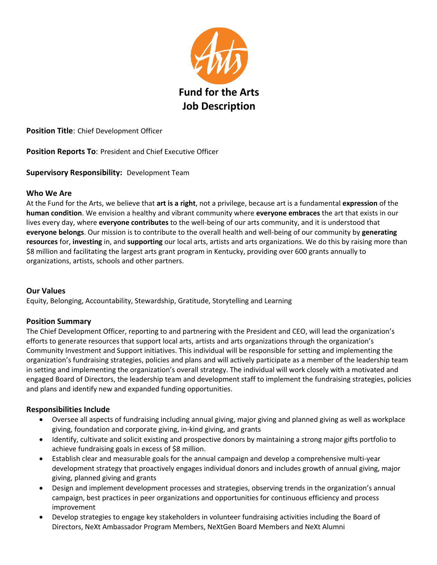

**Position Title**: Chief Development Officer

**Position Reports To**: President and Chief Executive Officer

**Supervisory Responsibility:** Development Team

## **Who We Are**

At the Fund for the Arts, we believe that **art is a right**, not a privilege, because art is a fundamental **expression** of the **human condition**. We envision a healthy and vibrant community where **everyone embraces** the art that exists in our lives every day, where **everyone contributes** to the well-being of our arts community, and it is understood that **everyone belongs**. Our mission is to contribute to the overall health and well-being of our community by **generating resources** for, **investing** in, and **supporting** our local arts, artists and arts organizations. We do this by raising more than \$8 million and facilitating the largest arts grant program in Kentucky, providing over 600 grants annually to organizations, artists, schools and other partners.

## **Our Values**

Equity, Belonging, Accountability, Stewardship, Gratitude, Storytelling and Learning

## **Position Summary**

The Chief Development Officer, reporting to and partnering with the President and CEO, will lead the organization's efforts to generate resources that support local arts, artists and arts organizations through the organization's Community Investment and Support initiatives. This individual will be responsible for setting and implementing the organization's fundraising strategies, policies and plans and will actively participate as a member of the leadership team in setting and implementing the organization's overall strategy. The individual will work closely with a motivated and engaged Board of Directors, the leadership team and development staff to implement the fundraising strategies, policies and plans and identify new and expanded funding opportunities.

## **Responsibilities Include**

- Oversee all aspects of fundraising including annual giving, major giving and planned giving as well as workplace giving, foundation and corporate giving, in-kind giving, and grants
- Identify, cultivate and solicit existing and prospective donors by maintaining a strong major gifts portfolio to achieve fundraising goals in excess of \$8 million.
- Establish clear and measurable goals for the annual campaign and develop a comprehensive multi-year development strategy that proactively engages individual donors and includes growth of annual giving, major giving, planned giving and grants
- Design and implement development processes and strategies, observing trends in the organization's annual campaign, best practices in peer organizations and opportunities for continuous efficiency and process improvement
- Develop strategies to engage key stakeholders in volunteer fundraising activities including the Board of Directors, NeXt Ambassador Program Members, NeXtGen Board Members and NeXt Alumni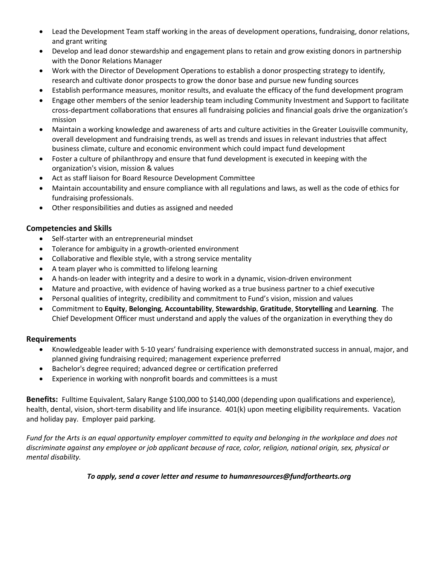- Lead the Development Team staff working in the areas of development operations, fundraising, donor relations, and grant writing
- Develop and lead donor stewardship and engagement plans to retain and grow existing donors in partnership with the Donor Relations Manager
- Work with the Director of Development Operations to establish a donor prospecting strategy to identify, research and cultivate donor prospects to grow the donor base and pursue new funding sources
- Establish performance measures, monitor results, and evaluate the efficacy of the fund development program
- Engage other members of the senior leadership team including Community Investment and Support to facilitate cross-department collaborations that ensures all fundraising policies and financial goals drive the organization's mission
- Maintain a working knowledge and awareness of arts and culture activities in the Greater Louisville community, overall development and fundraising trends, as well as trends and issues in relevant industries that affect business climate, culture and economic environment which could impact fund development
- Foster a culture of philanthropy and ensure that fund development is executed in keeping with the organization's vision, mission & values
- Act as staff liaison for Board Resource Development Committee
- Maintain accountability and ensure compliance with all regulations and laws, as well as the code of ethics for fundraising professionals.
- Other responsibilities and duties as assigned and needed

## **Competencies and Skills**

- Self-starter with an entrepreneurial mindset
- Tolerance for ambiguity in a growth-oriented environment
- Collaborative and flexible style, with a strong service mentality
- A team player who is committed to lifelong learning
- A hands-on leader with integrity and a desire to work in a dynamic, vision-driven environment
- Mature and proactive, with evidence of having worked as a true business partner to a chief executive
- Personal qualities of integrity, credibility and commitment to Fund's vision, mission and values
- Commitment to **Equity**, **Belonging**, **Accountability**, **Stewardship**, **Gratitude**, **Storytelling** and **Learning**. The Chief Development Officer must understand and apply the values of the organization in everything they do

## **Requirements**

- Knowledgeable leader with 5-10 years' fundraising experience with demonstrated success in annual, major, and planned giving fundraising required; management experience preferred
- Bachelor's degree required; advanced degree or certification preferred
- Experience in working with nonprofit boards and committees is a must

**Benefits:** Fulltime Equivalent, Salary Range \$100,000 to \$140,000 (depending upon qualifications and experience), health, dental, vision, short-term disability and life insurance. 401(k) upon meeting eligibility requirements. Vacation and holiday pay. Employer paid parking.

*Fund for the Arts is an equal opportunity employer committed to equity and belonging in the workplace and does not discriminate against any employee or job applicant because of race, color, religion, national origin, sex, physical or mental disability.*

## *To apply, send a cover letter and resume to humanresources@fundforthearts.org*